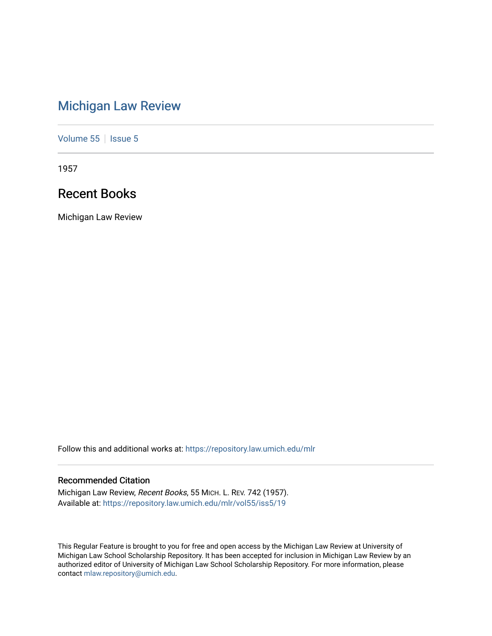# [Michigan Law Review](https://repository.law.umich.edu/mlr)

[Volume 55](https://repository.law.umich.edu/mlr/vol55) | [Issue 5](https://repository.law.umich.edu/mlr/vol55/iss5)

1957

# Recent Books

Michigan Law Review

Follow this and additional works at: [https://repository.law.umich.edu/mlr](https://repository.law.umich.edu/mlr?utm_source=repository.law.umich.edu%2Fmlr%2Fvol55%2Fiss5%2F19&utm_medium=PDF&utm_campaign=PDFCoverPages) 

# Recommended Citation

Michigan Law Review, Recent Books, 55 MICH. L. REV. 742 (1957). Available at: [https://repository.law.umich.edu/mlr/vol55/iss5/19](https://repository.law.umich.edu/mlr/vol55/iss5/19?utm_source=repository.law.umich.edu%2Fmlr%2Fvol55%2Fiss5%2F19&utm_medium=PDF&utm_campaign=PDFCoverPages) 

This Regular Feature is brought to you for free and open access by the Michigan Law Review at University of Michigan Law School Scholarship Repository. It has been accepted for inclusion in Michigan Law Review by an authorized editor of University of Michigan Law School Scholarship Repository. For more information, please contact [mlaw.repository@umich.edu](mailto:mlaw.repository@umich.edu).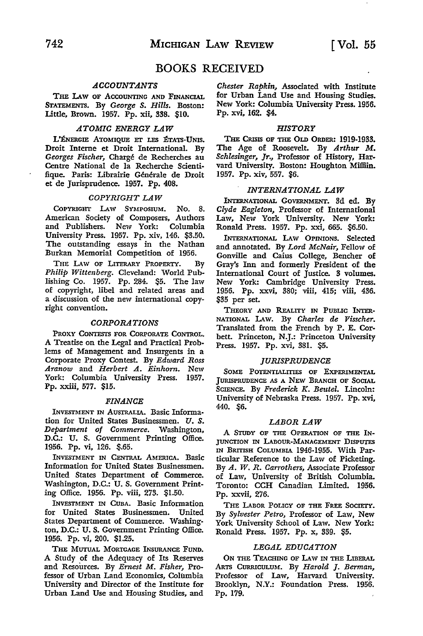# BOOKS RECEIVED

# *ACCOUNTANTS*

**THE I.AW OF ACCOUNTING AND FINANCIAL**  STATEMENTS. By *George S. Hills.* Boston: Little, Brown. 1957. Pp. xii, 338. \$10.

#### *ATOMIC ENERGY LAW*

L'ENERGIE ATOMIQUE ET LES ÉTATS-UNIS. Droit Interne et Droit International. By *Georges Fischer,* Charge de Recherches au Centre National de la Recherche Scientifique. Paris: Librairie Générale de Droit et de Jurisprudence. 1957. Pp. 408.

## *COPYRIGHT LAW*

COPYRIGHT I.Aw SYMPOSIUM. No. 8. American Society of Composers, Authors and Publishers. New York: Columbia University Press. 1957. Pp. xiv, 146. \$3.50. The outstanding essays in the Nathan Burkan Memorial Competition of 1956.

THE LAW OF LITERARY PROPERTY. By *Philip Wittenberg.* Cleveland: World Publishing Co. 1957. Pp. 284. \$5. The law of copyright, libel and related areas and a discussion of the new international copyright convention.

#### *CORPORATIONS*

PROXY CONTESTS FOR CORPORATE CONTROL. *A* Treatise on the Legal and Practical Problems of Management and Insurgents in a Corporate Proxy Contest. By *Edward Ross Aranow* and *Herbert A. Einhorn.* New York: Columbia University Press. 1957. Pp. xxiii, 577. \$15.

#### *FINANCE*

INVESTMENT IN AUSTRALIA. Basic Information for United States Businessmen. U. S. *Department of Commerce.* Washington, D.C.: U. S. Government Printing Office. 1956. Pp. vi, 126. \$.65.

INVESTMENT IN CENTRAL AMERICA. Basic Information for United States Businessmen. United States Department of Commerce. Washington, D.C.: U. S. Government Printing Office. 1956. Pp. viii, 273. \$1.50.

INVESTMENT IN CUBA. Basic Information for United States Businessmen. United States Department of Commerce. Washington, D.C.: U.S. Government Printing Office. 1956. Pp. vi, 200. \$1.25.

THE MUTUAL MORTGAGE INSURANCE FUND. **A** Study of the Adequacy of Its Reserves and Resources. By *Ernest* **M.** *Fisher,* Professor of Urban Land Economics, Columbia University and Director of the Institute for Urban Land Use and Housing Studies, and *Chester Rapkin,* Associated with **Institute**  for Urban Land Use and Housing Studies. New York: Columbia University Press. 1956. Pp. xvi, 162. \$4.

#### *HISTORY*

THE CRISIS OF THE OLD ORDER: 1919-1933. The Age of Roosevelt. By *Arthur M. Schlesinger, Jr.,* Professor of History, Harvard University. Boston: Houghton MilHin. 1957. Pp. xiv, 557. \$6.

#### *INTERNATIONAL LAW*

INTERNATIONAL GOVERNMENT. 3d ed. By *Clyde Eagleton,* Professor of International Law, New York University. New York: Ronald Press. 1957. Pp. xxi, 665. \$6.50.

INTERNATIONAL I.Aw OPINIONS. Selected and annotated. By *Lord McNair,* Fellow of Gonville and Caius College, Bencher of Gray's Inn and formerly President of the International Court of Justice. 3 volumes. New York: Cambridge University Press. 1956. Pp. xxvi, 380; viii, 415; viii, 436. \$35 per set.

THEORY AND REALITY IN PUBLIC INTER.- NATIONAL I.Aw. By *Charles de Visscher.*  Translated from the French by P. E. Corbett. Princeton, N.J.: Princeton University Press. 1957. Pp. xvi, 381. \$5.

#### *JURISPRUDENCE*

SOME POTENTIALITIES OF EXPERIMENTAL JURISPRUDENCE AS A NEW BRANCH OF SOCIAL SCIENCE. By *Frederick K. Beutel*. Lincoln: University of Nebraska Press. 1957. Pp. xvi, 440. \$6.

#### *LABOR LAW*

A STUDY OF THE OPERATION OF THE IN-JUNCTION IN LABOUR-MANAGEMENT DISPUTES IN BRITISH COLUMBIA 1946-1955. With Particular Reference to the Law of Picketing. By *A. W. R. Carrothers,* Associate Professor of Law, University of British Columbia. Toronto: CCH Canadian Limited. 1956. Pp. xxvii, 276.

THE LABOR POLICY OF THE FREE SOCIETY. By *Sylvester Petro,* Professor of Law, New York University School of Law. New York: Ronald Press. 1957. Pp. x, 339. \$5.

#### *LEGAL EDUCATION*

ON THE TEACHING OF LAW IN THE LIBERAL ARTS CURRICULUM. By *Harold* J. *Berman,*  Professor of Law, Harvard University. Brooklyn, N.Y.: Foundation Press. 1956. Pp. 179.